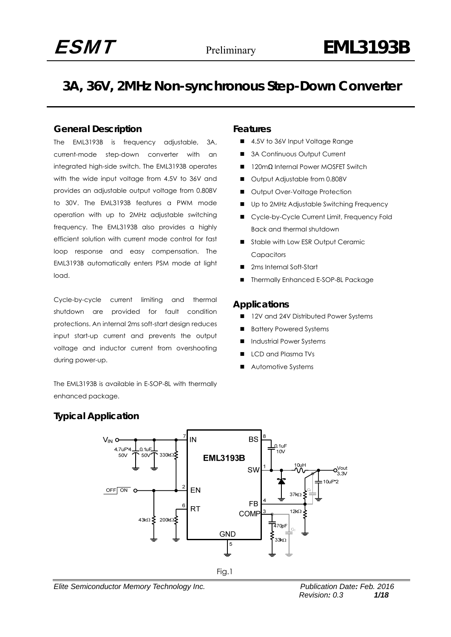## **3A, 36V, 2MHz Non-synchronous Step-Down Converter**

## **General Description**

The EML3193B is frequency adjustable, 3A, current-mode step-down converter with an integrated high-side switch. The EML3193B operates with the wide input voltage from 4.5V to 36V and provides an adjustable output voltage from 0.808V to 30V. The EML3193B features a PWM mode operation with up to 2MHz adjustable switching frequency. The EML3193B also provides a highly efficient solution with current mode control for fast loop response and easy compensation. The EML3193B automatically enters PSM mode at light load.

Cycle-by-cycle current limiting and thermal shutdown are provided for fault condition protections. An internal 2ms soft-start design reduces input start-up current and prevents the output voltage and inductor current from overshooting during power-up.

The EML3193B is available in E-SOP-8L with thermally enhanced package.

## **Features**

- 4.5V to 36V Input Voltage Range
- 3A Continuous Output Current
- 120mΩ Internal Power MOSFET Switch
- Output Adjustable from 0.808V
- Output Over-Voltage Protection
- Up to 2MHz Adjustable Switching Frequency
- Cycle-by-Cycle Current Limit, Frequency Fold Back and thermal shutdown
- Stable with Low ESR Output Ceramic **Capacitors**
- 2ms Internal Soft-Start
- Thermally Enhanced E-SOP-8L Package

### **Applications**

- 12V and 24V Distributed Power Systems
- Battery Powered Systems
- Industrial Power Systems
- LCD and Plasma TVs
- Automotive Systems

## **Typical Application**



*Elite Semiconductor Memory Technology Inc. Publication Date: Feb. 2016*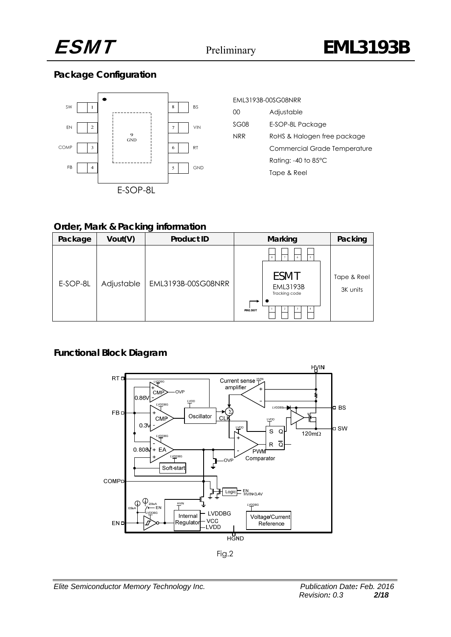

## **Package Configuration**



| <b>FMI 3193B-00SG08NRR</b>    |                              |  |  |  |  |  |
|-------------------------------|------------------------------|--|--|--|--|--|
| ΩO                            | Adjustable                   |  |  |  |  |  |
| SG08                          | E-SOP-8L Package             |  |  |  |  |  |
| NRR                           | RoHS & Halogen free package  |  |  |  |  |  |
|                               | Commercial Grade Temperature |  |  |  |  |  |
| Rating: -40 to $85^{\circ}$ C |                              |  |  |  |  |  |
|                               | Tape & Reel                  |  |  |  |  |  |
|                               |                              |  |  |  |  |  |

## **Order, Mark & Packing information**

| Package  | Vout(V)    | <b>Product ID</b>  | Marking                                                                                     | Packing                 |
|----------|------------|--------------------|---------------------------------------------------------------------------------------------|-------------------------|
| E-SOP-8L | Adjustable | EML3193B-00SG08NRR | $\mathbf{R}$<br>6<br>$\mathfrak{s}$<br>ESMT<br><b>EML3193B</b><br>Tracking code<br>PIN1 DOT | Tape & Reel<br>3K units |

## **Functional Block Diagram**



Fig.2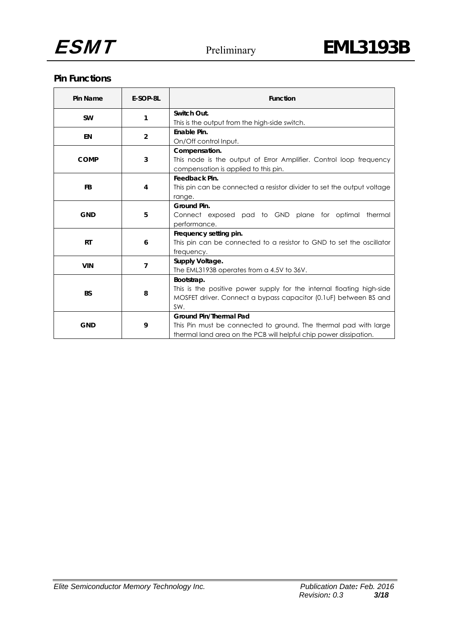

## **Pin Functions**

| Pin Name    | E-SOP-8L       | <b>Function</b>                                                        |  |  |  |
|-------------|----------------|------------------------------------------------------------------------|--|--|--|
| <b>SW</b>   | 1              | Switch Out.                                                            |  |  |  |
|             |                | This is the output from the high-side switch.                          |  |  |  |
| <b>EN</b>   | $\overline{2}$ | Enable Pin.                                                            |  |  |  |
|             |                | On/Off control Input.                                                  |  |  |  |
|             |                | Compensation.                                                          |  |  |  |
| <b>COMP</b> | 3              | This node is the output of Error Amplifier. Control loop frequency     |  |  |  |
|             |                | compensation is applied to this pin.                                   |  |  |  |
|             |                | Feedback Pin.                                                          |  |  |  |
| FB          | 4              | This pin can be connected a resistor divider to set the output voltage |  |  |  |
|             |                | range.                                                                 |  |  |  |
|             | 5              | Ground Pin.                                                            |  |  |  |
| <b>GND</b>  |                | Connect exposed pad to GND plane for optimal thermal                   |  |  |  |
|             |                | performance.                                                           |  |  |  |
|             |                | Frequency setting pin.                                                 |  |  |  |
| <b>RT</b>   | 6              | This pin can be connected to a resistor to GND to set the oscillator   |  |  |  |
|             |                | frequency.                                                             |  |  |  |
|             |                | Supply Voltage.                                                        |  |  |  |
| <b>VIN</b>  | $\overline{7}$ | The EML3193B operates from a 4.5V to 36V.                              |  |  |  |
|             |                | Bootstrap.                                                             |  |  |  |
|             |                | This is the positive power supply for the internal floating high-side  |  |  |  |
| <b>BS</b>   | 8              | MOSFET driver. Connect a bypass capacitor (0.1 uF) between BS and      |  |  |  |
|             |                | SW.                                                                    |  |  |  |
|             |                | <b>Ground Pin/Thermal Pad</b>                                          |  |  |  |
| <b>GND</b>  | 9              | This Pin must be connected to ground. The thermal pad with large       |  |  |  |
|             |                | thermal land area on the PCB will helpful chip power dissipation.      |  |  |  |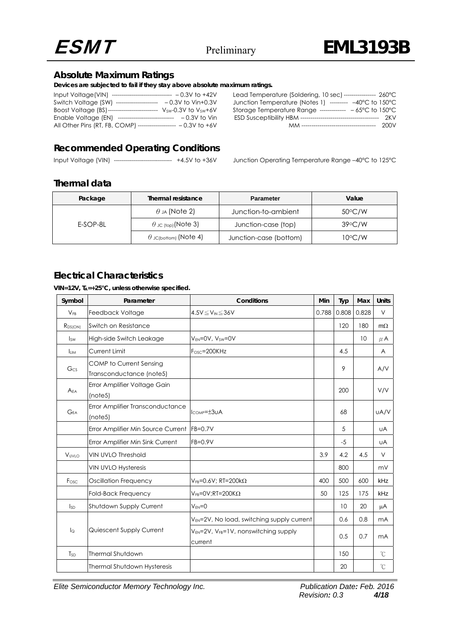

## **Absolute Maximum Ratings**

**Devices are subjected to fail if they stay above absolute maximum ratings.** 

| Input Voltage(VIN) ----------------------------- - 0.3V to +42V |                                |                     |
|-----------------------------------------------------------------|--------------------------------|---------------------|
| Switch Voltage (SW)                                             | ------------------             | $-0.3V$ to Vin+0.3V |
| Boost Voltage (BS)-------------------------                     |                                | Vsw-0.3V to Vsw+6V  |
| Enable Voltage (EN)                                             | ------------------------------ | $-0.3V$ to Vin      |
| All Other Pins (RT, FB, COMP) ------------------                |                                | $-0.3V$ to $+6V$    |
|                                                                 |                                |                     |

| Lead Temperature (Soldering, 10 sec) --------------- 260°C       |      |
|------------------------------------------------------------------|------|
| Junction Temperature (Notes 1) -------- -40°C to 150°C           |      |
| Storage Temperature Range ------------- $-65^{\circ}$ C to 150°C |      |
|                                                                  | 2KV  |
|                                                                  | 200V |

## **Recommended Operating Conditions**

Input Voltage (VIN) ---------------------------- +4.5V to +36V Junction Operating Temperature Range -40°C to 125°C

## **Thermal data**

| Thermal resistance<br>Package |                              | <b>Parameter</b>       | Value            |  |
|-------------------------------|------------------------------|------------------------|------------------|--|
|                               | $\theta$ JA (Note 2)         | Junction-to-ambient    | $50^{\circ}$ C/W |  |
| E-SOP-8L                      | $\theta$ JC (top) (Note 3)   | Junction-case (top)    | $39^{\circ}$ C/W |  |
|                               | $\theta$ 」c(bottom) (Note 4) | Junction-case (bottom) | $10^{\circ}$ C/W |  |

## **Electrical Characteristics**

**VIN=12V, TA=+25°C, unless otherwise specified.** 

| Symbol                  | Parameter                                                  | Conditions                                                 | Min   | Typ   | Max   | <b>Units</b>   |
|-------------------------|------------------------------------------------------------|------------------------------------------------------------|-------|-------|-------|----------------|
| $V_{FB}$                | Feedback Voltage                                           | $4.5V \leq V_{IN} \leq 36V$                                | 0.788 | 0.808 | 0.828 | V              |
| R <sub>DS(ON)</sub>     | Switch on Resistance                                       |                                                            |       | 120   | 180   | $m\Omega$      |
| <b>Isw</b>              | High-side Switch Leakage                                   | $V_{FN} = 0V$ , $V_{SW} = 0V$                              |       |       | 10    | $\mu$ A        |
| <b>I</b> <sub>LIM</sub> | Current Limit                                              | $FOSC=200KHz$                                              |       | 4.5   |       | A              |
| G <sub>CS</sub>         | <b>COMP</b> to Current Sensing<br>Transconductance (note5) |                                                            |       | 9     |       | A/V            |
| A <sub>EA</sub>         | Error Amplifier Voltage Gain<br>(notes)                    |                                                            |       | 200   |       | V/V            |
| $G_{EA}$                | Error Amplifier Transconductance<br>(notes)                | $I_{COMP} = \pm 3UA$                                       |       | 68    |       | UA/V           |
|                         | Error Amplifier Min Source Current                         | $FB=0.7V$                                                  |       | 5     |       | <b>UA</b>      |
|                         | Error Amplifier Min Sink Current                           | $FB=0.9V$                                                  |       | $-5$  |       | <b>UA</b>      |
| VUVIO                   | <b>VIN UVLO Threshold</b>                                  |                                                            | 3.9   | 4.2   | 4.5   | $\vee$         |
|                         | <b>VIN UVLO Hysteresis</b>                                 |                                                            |       | 800   |       | mV             |
| Fosc.                   | <b>Oscillation Frequency</b>                               | $V_{FB} = 0.6 V$ ; RT=200k $\Omega$                        | 400   | 500   | 600   | kHz            |
|                         | Fold-Back Frequency                                        | $V_{FB} = OV; RT = 200K\Omega$                             | 50    | 125   | 175   | kHz            |
| $I_{SD}$                | Shutdown Supply Current                                    | $V_{FN}=0$                                                 |       | 10    | 20    | μA             |
|                         |                                                            | V <sub>EN</sub> =2V, No load, switching supply current     |       | 0.6   | 0.8   | m <sub>A</sub> |
| $\log$                  | Quiescent Supply Current                                   | $V_{EN}$ =2V, $V_{FB}$ =1V, nonswitching supply<br>current |       | 0.5   | 0.7   | mA             |
| $T_{SD}$                | <b>Thermal Shutdown</b>                                    |                                                            |       | 150   |       | °C             |
|                         | Thermal Shutdown Hysteresis                                |                                                            |       | 20    |       | °C             |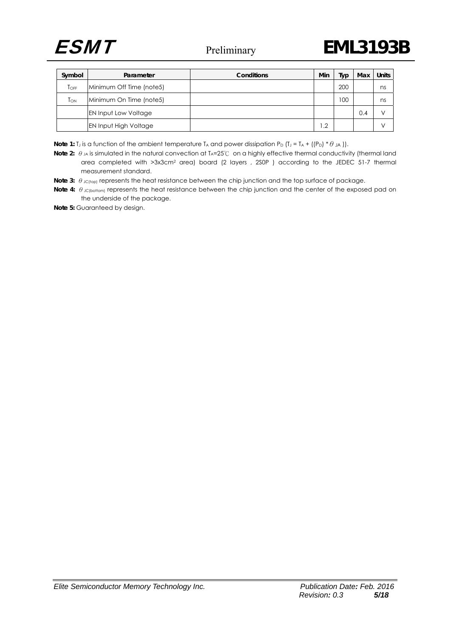

| Symbol           | Parameter                    | Conditions | Min        | Typ | Max | <b>Units</b> |
|------------------|------------------------------|------------|------------|-----|-----|--------------|
| $T_{\text{OFF}}$ | Minimum Off Time (note5)     |            |            | 200 |     | ns           |
| TON              | Minimum On Time (note5)      |            |            | 100 |     | ns           |
|                  | <b>EN Input Low Voltage</b>  |            |            |     | 0.4 |              |
|                  | <b>EN Input High Voltage</b> |            | $\cdot$ .2 |     |     |              |

**Note 1:** T<sub>J</sub> is a function of the ambient temperature T<sub>A</sub> and power dissipation P<sub>D</sub> (T<sub>J</sub> = T<sub>A</sub> + ((P<sub>D</sub>) \*  $\theta$  JA)).

Note 2: θ<sub>JA</sub> is simulated in the natural convection at T<sub>A</sub>=25°C on a highly effective thermal conductivity (thermal land area completed with >3x3cm2 area) board (2 layers , 2S0P ) according to the JEDEC 51-7 thermal measurement standard.

**Note 3:** θ <sub>JC(top)</sub> represents the heat resistance between the chip junction and the top surface of package.

**Note 4:** θ JC(bottom) represents the heat resistance between the chip junction and the center of the exposed pad on the underside of the package.

**Note 5:** Guaranteed by design.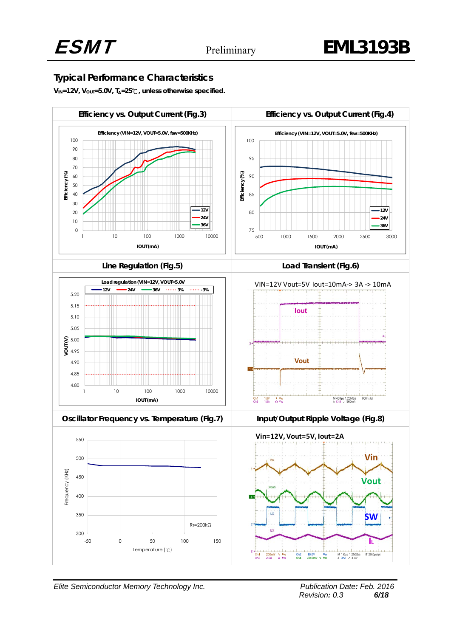## **Typical Performance Characteristics**

**VIN=12V, VOUT=5.0V, TA=25**℃**, unless otherwise specified.**



*Elite Semiconductor Memory Technology Inc. Publication Date: Feb. 2016 Revision: 0.3 6/18*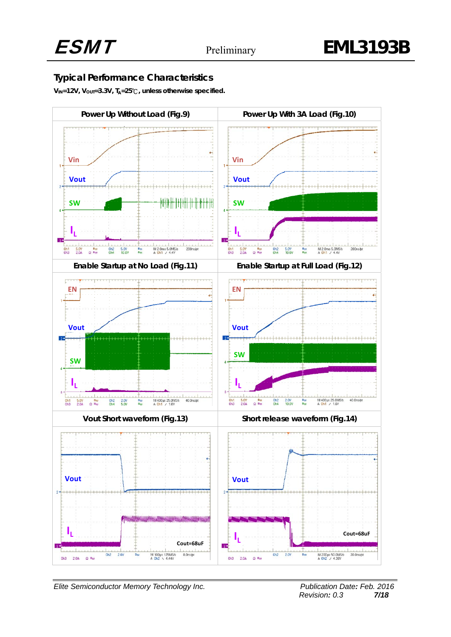## **Typical Performance Characteristics**

**VIN=12V, VOUT=3.3V, TA=25**℃**, unless otherwise specified.** 

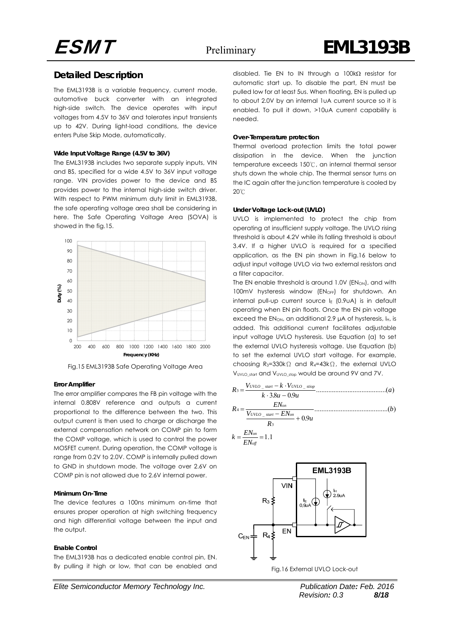## **Detailed Description**

The EML3193B is a variable frequency, current mode, automotive buck converter with an integrated high-side switch. The device operates with input voltages from 4.5V to 36V and tolerates input transients up to 42V. During light-load conditions, the device enters Pulse Skip Mode, automatically.

#### **Wide Input Voltage Range (4.5V to 36V)**

The EML3193B includes two separate supply inputs, VIN and BS, specified for a wide 4.5V to 36V input voltage range. VIN provides power to the device and BS provides power to the internal high-side switch driver. With respect to PWM minimum duty limit in EML3193B, the safe operating voltage area shall be considering in here. The Safe Operating Voltage Area (SOVA) is showed in the fig.15.



Fig.15 EML3193B Safe Operating Voltage Area

#### **Error Amplifier**

The error amplifier compares the FB pin voltage with the internal 0.808V reference and outputs a current proportional to the difference between the two. This output current is then used to charge or discharge the external compensation network on COMP pin to form the COMP voltage, which is used to control the power MOSFET current. During operation, the COMP voltage is range from 0.2V to 2.0V. COMP is internally pulled down to GND in shutdown mode. The voltage over 2.6V on COMP pin is not allowed due to 2.6V internal power.

#### **Minimum On-Time**

The device features a 100ns minimum on-time that ensures proper operation at high switching frequency and high differential voltage between the input and the output.

#### **Enable Control**

The EML3193B has a dedicated enable control pin, EN. By pulling it high or low, that can be enabled and

*Elite Semiconductor Memory Technology Inc. Publication Date: Feb. 2016* 

disabled. Tie EN to IN through a 100kΩ resistor for automatic start up. To disable the part, EN must be pulled low for at least 5us. When floating, EN is pulled up to about 2.0V by an internal 1uA current source so it is enabled. To pull it down, >10uA current capability is needed.

#### **Over-Temperature protection**

Thermal overload protection limits the total power dissipation in the device. When the junction temperature exceeds 150℃, an internal thermal sensor shuts down the whole chip. The thermal sensor turns on the IC again after the junction temperature is cooled by 20℃

#### **Under Voltage Lock-out (UVLO)**

UVLO is implemented to protect the chip from operating at insufficient supply voltage. The UVLO rising threshold is about 4.2V while its falling threshold is about 3.4V. If a higher UVLO is required for a specified application, as the EN pin shown in Fig.16 below to adjust input voltage UVLO via two external resistors and a filter capacitor.

The EN enable threshold is around  $1.0V$  (EN<sub>ON</sub>), and with 100mV hysteresis window (EN<sub>OFF</sub>) for shutdown. An internal pull-up current source  $I_{E}$  (0.9uA) is in default operating when EN pin floats. Once the EN pin voltage exceed the ENon, an additional 2.9 μA of hysteresis, I<sub>H</sub>, is added. This additional current facilitates adjustable input voltage UVLO hysteresis. Use Equation (a) to set the external UVLO hysteresis voltage. Use Equation (b) to set the external UVLO start voltage. For example, choosing R3=330kΩ and R4=43kΩ, the external UVLO VUVLO\_start and VUVLO\_stop would be around 9V and 7V.

........................................( ) <sup>38</sup> <sup>0</sup> <sup>9</sup> \_ \_ 3 ⋅ − <sup>−</sup> <sup>⋅</sup> <sup>=</sup> *UVLO start UVLO stiop <sup>a</sup> <sup>k</sup> . <sup>u</sup> . <sup>u</sup> <sup>V</sup> <sup>k</sup> <sup>V</sup> <sup>R</sup>*

..........................................( ) 0 9 3 4 <sup>+</sup> <sup>−</sup> <sup>=</sup> *on UVLO start on on b . <sup>u</sup> <sup>R</sup> V EN EN <sup>R</sup>*

$$
k = \frac{EN_{on}}{EN_{off}} = 1.1
$$

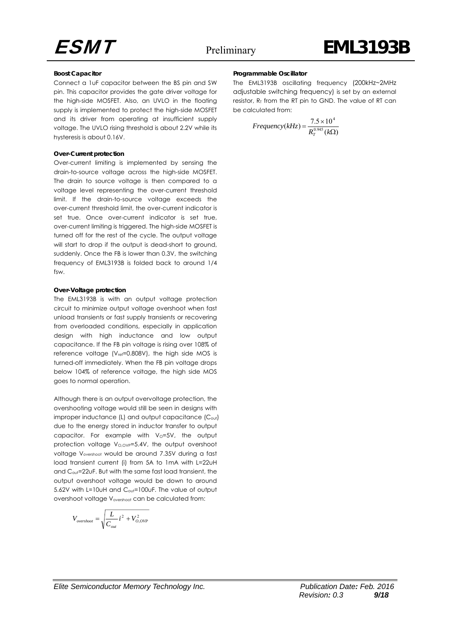#### **Boost Capacitor**

Connect a 1uF capacitor between the BS pin and SW pin. This capacitor provides the gate driver voltage for the high-side MOSFET. Also, an UVLO in the floating supply is implemented to protect the high-side MOSFET and its driver from operating at insufficient supply voltage. The UVLO rising threshold is about 2.2V while its hysteresis is about 0.16V.

#### **Over-Current protection**

Over-current limiting is implemented by sensing the drain-to-source voltage across the high-side MOSFET. The drain to source voltage is then compared to a voltage level representing the over-current threshold limit. If the drain-to-source voltage exceeds the over-current threshold limit, the over-current indicator is set true. Once over-current indicator is set true, over-current limiting is triggered. The high-side MOSFET is turned off for the rest of the cycle. The output voltage will start to drop if the output is dead-short to ground, suddenly. Once the FB is lower than 0.3V, the switching frequency of EML3193B is folded back to around 1/4 fsw.

#### **Over-Voltage protection**

The EML3193B is with an output voltage protection circuit to minimize output voltage overshoot when fast unload transients or fast supply transients or recovering from overloaded conditions, especially in application design with high inductance and low output capacitance. If the FB pin voltage is rising over 108% of reference voltage (V<sub>ref</sub>=0.808V), the high side MOS is turned-off immediately. When the FB pin voltage drops below 104% of reference voltage, the high side MOS goes to normal operation.

Although there is an output overvoltage protection, the overshooting voltage would still be seen in designs with improper inductance  $(L)$  and output capacitance  $(C_{out})$ due to the energy stored in inductor transfer to output capacitor. For example with  $V_0=5V$ , the output protection voltage  $V_{O, OVP} = 5.4V$ , the output overshoot voltage Vovershoot would be around 7.35V during a fast load transient current (i) from 5A to 1mA with L=22uH and C<sub>out</sub>=22uF. But with the same fast load transient, the output overshoot voltage would be down to around 5.62V with L=10uH and C<sub>out</sub>=100uF. The value of output overshoot voltage V<sub>overshoot</sub> can be calculated from:

$$
V_{overshoot} = \sqrt{\frac{L}{C_{out}}i^2 + V_{O, OVP}^2}
$$

#### **Programmable Oscillator**

The EML3193B oscillating frequency (200kHz~2MHz adjustable switching frequency) is set by an external resistor,  $R<sub>T</sub>$  from the RT pin to GND. The value of RT can be calculated from:

$$
Frequency(kHz) = \frac{7.5 \times 10^4}{R_T^{0.945} (k\Omega)}
$$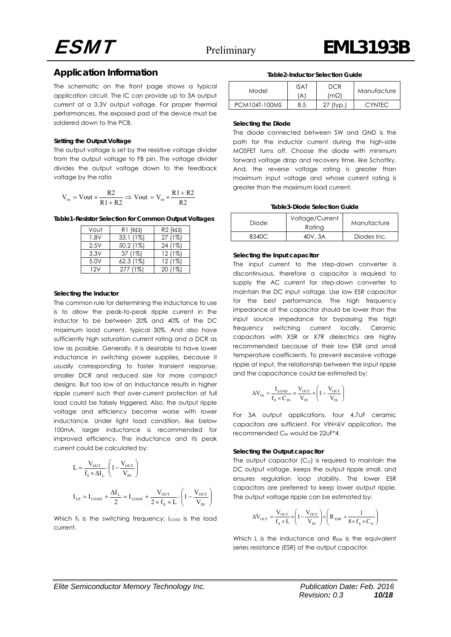#### **Application Information**

The schematic on the front page shows a typical application circuit. The IC can provide up to 3A output current at a 3.3V output voltage. For proper thermal performances, the exposed pad of the device must be soldered down to the PCB.

#### **Setting the Output Voltage**

The output voltage is set by the resistive voltage divider from the output voltage to FB pin. The voltage divider divides the output voltage down to the feedback voltage by the ratio

$$
V_{\text{FB}} = Vout \times \frac{R2}{R1 + R2} \Rightarrow Vout = V_{\text{FB}} \times \frac{R1 + R2}{R2}
$$

**Table1-Resistor Selection for Common Output Voltages**

| Vout | $R1$ (k $\Omega$ ) | $R2$ (k $\Omega$ ) |
|------|--------------------|--------------------|
| 1.8V | $33.1(1\%)$        | 27 (1%)            |
| 2.5V | 50.2 (1%)          | 24 (1%)            |
| 3.3V | 37 (1%)            | 12(1%)             |
| 5.0V | $62.3(1\%)$        | 12(1%)             |
| 12V  | 277 (1%)           | (2)<br>20          |

#### **Selecting the Inductor**

The common rule for determining the inductance to use is to allow the peak-to-peak ripple current in the inductor to be between 20% and 40% of the DC maximum load current, typical 30%. And also have sufficiently high saturation current rating and a DCR as low as possible. Generally, it is desirable to have lower inductance in switching power supplies, because it usually corresponding to faster transient response, smaller DCR and reduced size for more compact designs. But too low of an inductance results in higher ripple current such that over-current protection at full load could be falsely triggered. Also, the output ripple voltage and efficiency become worse with lower inductance. Under light load condition, like below 100mA, larger inductance is recommended for improved efficiency. The inductance and its peak current could be calculated by:

$$
L = \frac{V_{\text{OUT}}}{f_s \times \Delta I_L} \cdot \left(1 - \frac{V_{\text{OUT}}}{V_{\text{IN}}}\right)
$$
  

$$
I_{\text{LP}} = I_{\text{LOAD}} + \frac{\Delta I_L}{2} = I_{\text{LOAD}} + \frac{V_{\text{OUT}}}{2 \times f_s \times L} \cdot \left(1 - \frac{V_{\text{OUT}}}{V_{\text{IN}}}\right)
$$

Which  $f_s$  is the switching frequency;  $I_{\text{LOAD}}$  is the load current.

#### **Table2-Inductor Selection Guide**

| Model         | ISAT      | DCR    |               |
|---------------|-----------|--------|---------------|
|               | $\forall$ | mΩ)    | Manufacture   |
| PCM104T-100MS | 8.5       | (tvp.) | <b>CYNTEC</b> |

#### **Selecting the Diode**

The diode connected between SW and GND is the path for the inductor current during the high-side MOSFET turns off. Choose the diode with minimum forward voltage drop and recovery time, like Schottky. And, the reverse voltage rating is greater than maximum input voltage and whose current rating is greater than the maximum load current.

#### **Table3-Diode Selection Guide**

| Diode | Voltage/Current<br>Rating | Manufacture |
|-------|---------------------------|-------------|
| B340C | 40V.3A                    | Diodes Inc. |

#### **Selecting the Input capacitor**

The input current to the step-down converter is discontinuous, therefore a capacitor is required to supply the AC current for step-down converter to maintain the DC input voltage. Use low ESR capacitor for the best performance. The high frequency impedance of the capacitor should be lower than the input source impedance for bypassing the high frequency switching current locally. Ceramic capacitors with X5R or X7R dielectrics are highly recommended because of their low ESR and small temperature coefficients. To prevent excessive voltage ripple at input, the relationship between the input ripple and the capacitance could be estimated by:

$$
\Delta V_{\text{IN}} = \frac{I_{\text{LOAD}}}{f_{\text{S}} \times C_{\text{IN}}} \times \frac{V_{\text{OUT}}}{V_{\text{IN}}} \times \left(1 - \frac{V_{\text{OUT}}}{V_{\text{IN}}}\right)
$$

For 3A output applications, four 4.7uF ceramic capacitors are sufficient. For VIN<6V application, the recommended  $C_{\text{IN}}$  would be 22uF $*4$ .

#### **Selecting the Output capacitor**

The output capacitor  $(C_0)$  is required to maintain the DC output voltage, keeps the output ripple small, and ensures regulation loop stability. The lower ESR capacitors are preferred to keep lower output ripple. The output voltage ripple can be estimated by:

$$
\Delta V_{\text{OUT}} = \frac{V_{\text{OUT}}}{f_s \times L} \times \left(1 - \frac{V_{\text{OUT}}}{V_{\text{IN}}}\right) \times \left(R_{\text{ESR}} + \frac{1}{8 \times f_s \times C_{\text{O}}}\right)
$$

Which L is the inductance and R<sub>ESR</sub> is the equivalent series resistance (ESR) of the output capacitor.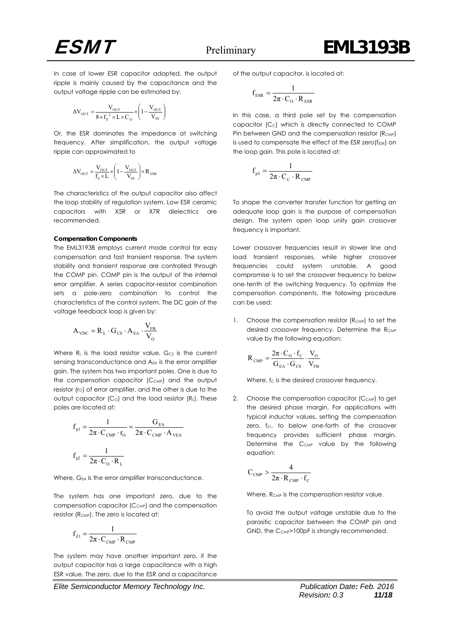

In case of lower ESR capacitor adopted, the output ripple is mainly caused by the capacitance and the output voltage ripple can be estimated by:

$$
\Delta V_{\text{OUT}} = \frac{V_{\text{OUT}}}{8 \times f_s^2 \times L \times C_0} \times \left(1 - \frac{V_{\text{OUT}}}{V_{\text{IN}}}\right)
$$

Or, the ESR dominates the impedance at switching frequency. After simplification, the output voltage ripple can approximated to

$$
\Delta V_{\text{OUT}} = \frac{V_{\text{OUT}}}{f_s \times L} \times \left(1 - \frac{V_{\text{OUT}}}{V_{\text{IN}}}\right) \times R_{\text{ESR}}
$$

The characteristics of the output capacitor also affect the loop stability of regulation system. Low ESR ceramic capacitors with X5R or X7R dielectrics are recommended.

#### **Compensation Components**

The EML3193B employs current mode control for easy compensation and fast transient response. The system stability and transient response are controlled through the COMP pin. COMP pin is the output of the internal error amplifier. A series capacitor-resistor combination sets a pole-zero combination to control the characteristics of the control system. The DC gain of the voltage feedback loop is given by:

$$
\mathbf{A}_{\text{VDC}} = \mathbf{R}_{\text{L}} \cdot \mathbf{G}_{\text{CS}} \cdot \mathbf{A}_{\text{EA}} \cdot \frac{\mathbf{V}_{\text{FB}}}{\mathbf{V}_{\text{O}}}
$$

Where  $R<sub>l</sub>$  is the load resistor value,  $G<sub>CS</sub>$  is the current sensing transconductance and A<sub>EA</sub> is the error amplifier gain. The system has two important poles. One is due to the compensation capacitor  $(C_{CMP})$  and the output resistor (ro) of error amplifier, and the other is due to the output capacitor  $(C_0)$  and the load resistor  $(R_L)$ . These poles are located at:

$$
f_{\text{p1}} = \frac{1}{2\pi \cdot C_{\text{CMP}} \cdot r_{\text{O}}} = \frac{G_{\text{EA}}}{2\pi \cdot C_{\text{CMP}} \cdot A_{\text{VEA}}}
$$

$$
f_{\text{p2}} = \frac{1}{2\pi \cdot C_{\text{O}} \cdot R_{\text{L}}}
$$

Where,  $G_{EA}$  is the error amplifier transconductance.

The system has one important zero, due to the compensation capacitor  $(C_{\text{CMP}})$  and the compensation resistor (R<sub>CMP</sub>). The zero is located at:

$$
f_{Z1} = \frac{1}{2\pi \cdot C_{\text{CMP}} \cdot R_{\text{CMP}}}
$$

The system may have another important zero, if the output capacitor has a large capacitance with a high ESR value. The zero, due to the ESR and a capacitance of the output capacitor, is located at:

$$
f_{ESR} = \frac{1}{2\pi \cdot C_{\text{o}} \cdot R_{ESR}}
$$

In this case, a third pole set by the compensation capacitor (Cc) which is directly connected to COMP Pin between GND and the compensation resistor (RCMP) is used to compensate the effect of the ESR zero(f<sub>ESR</sub>) on the loop gain. This pole is located at:

$$
f_{p3} = \frac{1}{2\pi \cdot C_C \cdot R_{\text{CMP}}}
$$

To shape the converter transfer function for getting an adequate loop gain is the purpose of compensation design. The system open loop unity gain crossover frequency is important.

Lower crossover frequencies result in slower line and load transient responses, while higher crossover frequencies could system unstable. A good compromise is to set the crossover frequency to below one-tenth of the switching frequency. To optimize the compensation components, the following procedure can be used:

1. Choose the compensation resistor  $(R_{\text{CMP}})$  to set the desired crossover frequency. Determine the R<sub>CMP</sub> value by the following equation:

$$
R_{\text{CMP}} = \frac{2\pi \cdot C_{\text{o}} \cdot f_{\text{C}}}{G_{\text{EA}} \cdot G_{\text{CS}}} \cdot \frac{V_{\text{o}}}{V_{\text{FB}}}
$$

Where, fc is the desired crossover frequency.

2. Choose the compensation capacitor  $(C_{\text{CMP}})$  to get the desired phase margin. For applications with typical inductor values, setting the compensation zero, fz1, to below one-forth of the crossover frequency provides sufficient phase margin. Determine the  $C_{\text{CMP}}$  value by the following equation:

$$
C_{\text{CMP}} > \frac{4}{2\pi \cdot R_{\text{CMP}} \cdot f_{\text{C}}}
$$

Where, R<sub>CMP</sub> is the compensation resistor value.

To avoid the output voltage unstable due to the parasitic capacitor between the COMP pin and GND, the C<sub>CMP</sub>>100pF is strongly recommended.

*Elite Semiconductor Memory Technology Inc. Publication Date: Feb. 2016*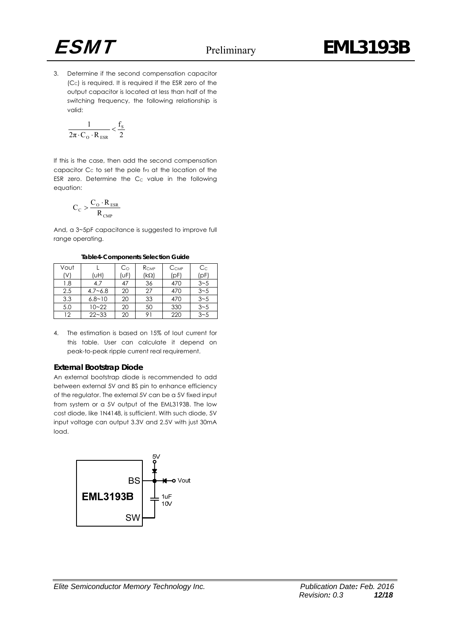

3. Determine if the second compensation capacitor  $(C<sub>c</sub>)$  is required. It is required if the ESR zero of the output capacitor is located at less than half of the switching frequency, the following relationship is valid:

$$
\frac{1}{2\pi \! \cdot \! C_{\mathrm{o}} \cdot R_{\text{ESR}}} \!<\! \frac{f_{\mathrm{s}}}{2}
$$

If this is the case, then add the second compensation capacitor  $C_c$  to set the pole  $f_{P3}$  at the location of the ESR zero. Determine the  $C<sub>C</sub>$  value in the following equation:

$$
C_{C} > \frac{C_{O} \cdot R_{ESR}}{R_{CMP}}
$$

And, a 3~5pF capacitance is suggested to improve full range operating.

**Table4-Components Selection Guide**

| Vout |             | $C_{\rm O}$ | $R_{\text{CMP}}$ | C <sub>CMP</sub> | $C_{C}$ |
|------|-------------|-------------|------------------|------------------|---------|
| (V)  | (UH)        | (UF)        | (kΩ)             | (pF)             | (pF)    |
| 1.8  | 4.7         | 47          | 36               | 470              | $3 - 5$ |
| 2.5  | $4.7 - 6.8$ | 20          | 27               | 470              | $3 - 5$ |
| 3.3  | $6.8 - 10$  | 20          | 33               | 470              | $3 - 5$ |
| 5.0  | 10~22       | 20          | 50               | 330              | $3 - 5$ |
| 12   | $22 - 33$   | 20          | 91               | 220              | $3 - 5$ |

4. The estimation is based on 15% of Iout current for this table. User can calculate it depend on peak-to-peak ripple current real requirement.

#### **External Bootstrap Diode**

An external bootstrap diode is recommended to add between external 5V and BS pin to enhance efficiency of the regulator. The external 5V can be a 5V fixed input from system or a 5V output of the EML3193B. The low cost diode, like 1N4148, is sufficient. With such diode, 5V input voltage can output 3.3V and 2.5V with just 30mA load.

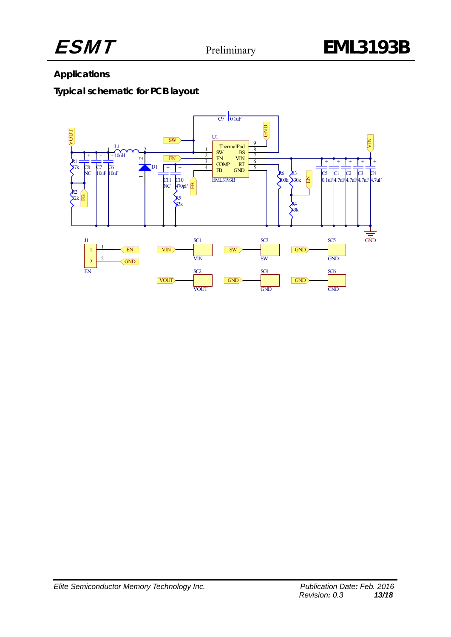

## **Applications**

## **Typical schematic for PCB layout**

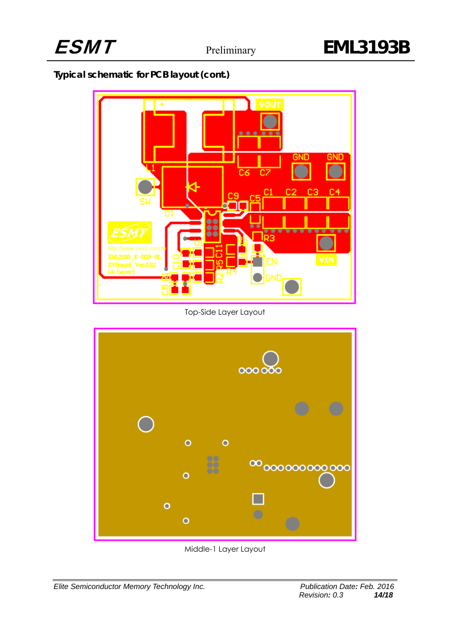## **Typical schematic for PCB layout (cont.)**



Top-Side Layer Layout



Middle-1 Layer Layout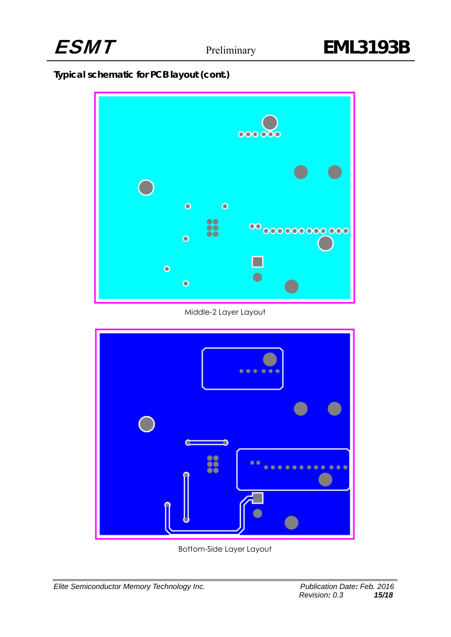

## **Typical schematic for PCB layout (cont.)**



Middle-2 Layer Layout



Bottom-Side Layer Layout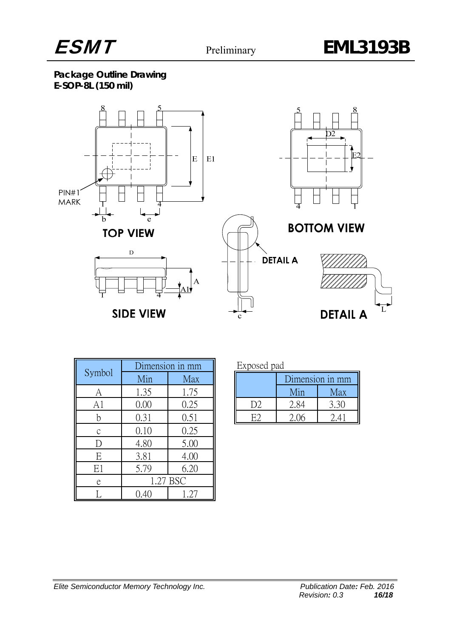

**Package Outline Drawing E-SOP-8L (150 mil)** 



| Symbol         | Dimension in mm |          | Exposed pad    |                 |      |
|----------------|-----------------|----------|----------------|-----------------|------|
|                | Min             | Max      |                | Dimension in mi |      |
| А              | 1.35            | 1.75     |                | Min             | Max  |
| A <sub>1</sub> | 0.00            | 0.25     | D <sub>2</sub> | 2.84            | 3.30 |
| h              | 0.31            | 0.51     | E2             | 2.06            | 2.41 |
| C              | 0.10            | 0.25     |                |                 |      |
| D              | 4.80            | 5.00     |                |                 |      |
| E              | 3.81            | 4.00     |                |                 |      |
| E1             | 5.79            | 6.20     |                |                 |      |
| e              |                 | 1.27 BSC |                |                 |      |
|                | 0.40            | .27      |                |                 |      |

| Exposed pad |  |
|-------------|--|
|             |  |

| Dimension in mm |     |  |  |
|-----------------|-----|--|--|
| Min             | Max |  |  |
| 2 X             |     |  |  |
|                 |     |  |  |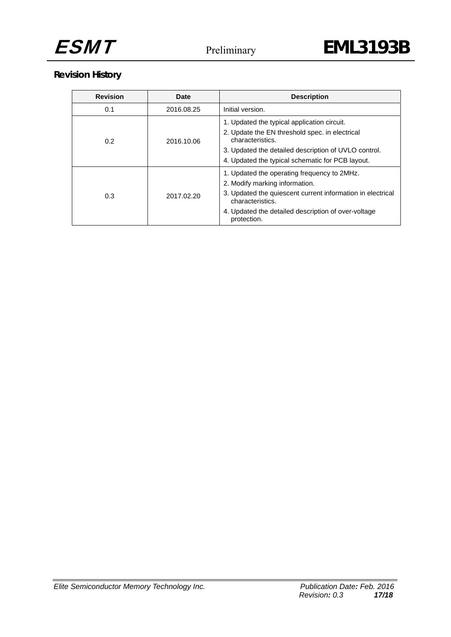

## **Revision History**

| <b>Revision</b> | <b>Date</b> | <b>Description</b>                                                                                                                                                                                                                    |
|-----------------|-------------|---------------------------------------------------------------------------------------------------------------------------------------------------------------------------------------------------------------------------------------|
| 0.1             | 2016.08.25  | Initial version.                                                                                                                                                                                                                      |
| 0.2             | 2016.10.06  | 1. Updated the typical application circuit.<br>2. Update the EN threshold spec. in electrical<br>characteristics.<br>3. Updated the detailed description of UVLO control.<br>4. Updated the typical schematic for PCB layout.         |
| 0.3             | 2017.02.20  | 1. Updated the operating frequency to 2MHz.<br>2. Modify marking information.<br>3. Updated the quiescent current information in electrical<br>characteristics.<br>4. Updated the detailed description of over-voltage<br>protection. |